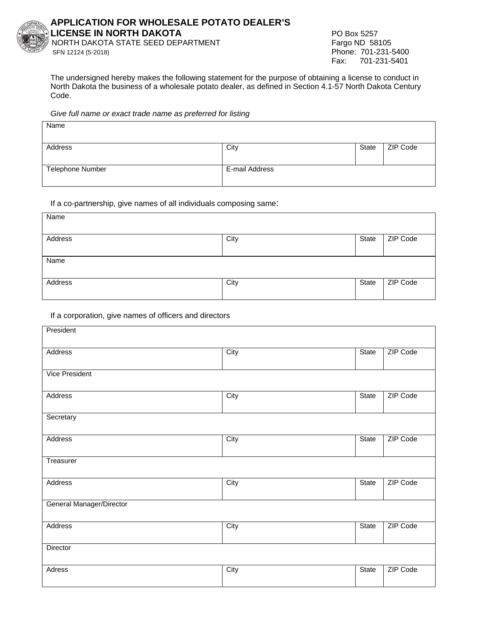

## **APPLICATION FOR WHOLESALE POTATO DEALER'S LICENSE IN NORTH DAKOTA** PO Box 5257

NORTH DAKOTA STATE SEED DEPARTMENT SFN 12124 (5-2018) Phone: 701-231-5400

Fax: 701-231-5401

The undersigned hereby makes the following statement for the purpose of obtaining a license to conduct in North Dakota the business of a wholesale potato dealer, as defined in Section 4.1-57 North Dakota Century Code.

#### *Give full name or exact trade name as preferred for listing*

| Name             |                |       |          |
|------------------|----------------|-------|----------|
|                  |                |       |          |
| Address          | City           | State | ZIP Code |
|                  |                |       |          |
| Telephone Number | E-mail Address |       |          |
|                  |                |       |          |

## If a co-partnership, give names of all individuals composing same:

| Name    |      |       |          |
|---------|------|-------|----------|
| Address | City | State | ZIP Code |
| Name    |      |       |          |
| Address | City | State | ZIP Code |

## If a corporation, give names of officers and directors

| President                |      |       |          |
|--------------------------|------|-------|----------|
| Address                  | City | State | ZIP Code |
| <b>Vice President</b>    |      |       |          |
| Address                  | City | State | ZIP Code |
| Secretary                |      |       |          |
| Address                  | City | State | ZIP Code |
| Treasurer                |      |       |          |
| Address                  | City | State | ZIP Code |
| General Manager/Director |      |       |          |
| Address                  | City | State | ZIP Code |
| Director                 |      |       |          |
| Adress                   | City | State | ZIP Code |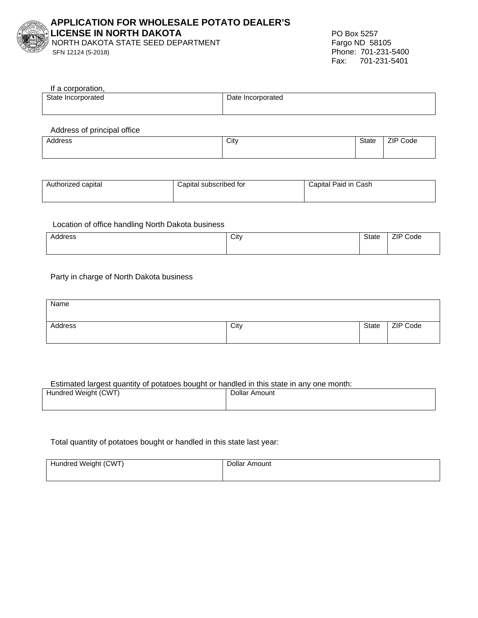

## **APPLICATION FOR WHOLESALE POTATO DEALER'S LICENSE IN NORTH DAKOTA** PO Box 5257

NORTH DAKOTA STATE SEED DEPARTMENT

SFN 12124 (5-2018) Phone: 701-231-5400 Fax: 701-231-5401

| If a corporation,  |                   |
|--------------------|-------------------|
| State Incorporated | Date Incorporated |
|                    |                   |
|                    |                   |

Address of principal office

| Address<br>- - - | City | State<br>- - - - - - | ZIP<br>Code<br>. |
|------------------|------|----------------------|------------------|
|                  |      |                      |                  |

| Authorized capital | Capital subscribed for | Capital Paid in Cash |
|--------------------|------------------------|----------------------|
|                    |                        |                      |
|                    |                        |                      |

#### Location of office handling North Dakota business

| ddress<br>. | City | <b>State</b><br>- - - - - - | ZIP<br>Code |
|-------------|------|-----------------------------|-------------|
|             |      |                             |             |

## Party in charge of North Dakota business

| Name    |      |       |          |
|---------|------|-------|----------|
| Address | City | State | ZIP Code |

#### Estimated largest quantity of potatoes bought or handled in this state in any one month:

| Hundred Weight (CWT) | Dollar Amount |
|----------------------|---------------|
|                      |               |
|                      |               |

## Total quantity of potatoes bought or handled in this state last year:

| Hundred Weight (CWT) | Dollar Amount |
|----------------------|---------------|
|                      |               |
|                      |               |
|                      |               |
|                      |               |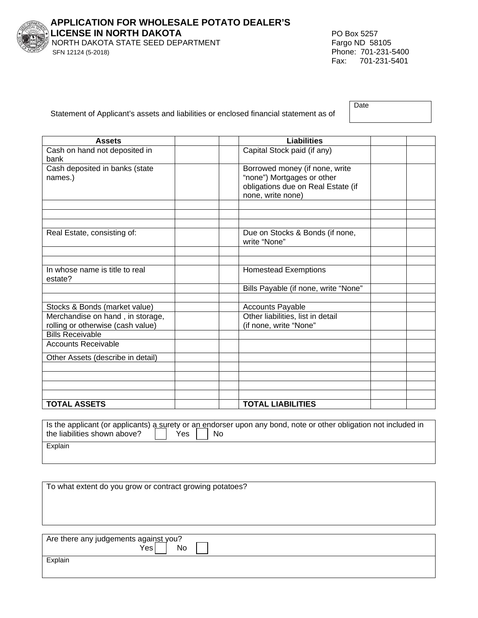

**APPLICATION FOR WHOLESALE POTATO DEALER'S LICENSE IN NORTH DAKOTA** PO Box 5257 NORTH DAKOTA STATE SEED DEPARTMENT SFN 12124 (5-2018) Phone: 701-231-5400

Fax: 701-231-5401

|  | Statement of Applicant's assets and liabilities or enclosed financial statement as of |  |
|--|---------------------------------------------------------------------------------------|--|
|  |                                                                                       |  |

| Date |  |  |
|------|--|--|
|      |  |  |

| <b>Assets</b>                                                         | <b>Liabilities</b>                                          |  |
|-----------------------------------------------------------------------|-------------------------------------------------------------|--|
| Cash on hand not deposited in<br>bank                                 | Capital Stock paid (if any)                                 |  |
| Cash deposited in banks (state                                        | Borrowed money (if none, write                              |  |
| names.)                                                               | "none") Mortgages or other                                  |  |
|                                                                       | obligations due on Real Estate (if                          |  |
|                                                                       | none, write none)                                           |  |
|                                                                       |                                                             |  |
|                                                                       |                                                             |  |
| Real Estate, consisting of:                                           | Due on Stocks & Bonds (if none,                             |  |
|                                                                       | write "None"                                                |  |
|                                                                       |                                                             |  |
|                                                                       |                                                             |  |
| In whose name is title to real                                        | <b>Homestead Exemptions</b>                                 |  |
| estate?                                                               |                                                             |  |
|                                                                       | Bills Payable (if none, write "None"                        |  |
|                                                                       |                                                             |  |
| Stocks & Bonds (market value)                                         | Accounts Payable                                            |  |
| Merchandise on hand, in storage,<br>rolling or otherwise (cash value) | Other liabilities, list in detail<br>(if none, write "None" |  |
| <b>Bills Receivable</b>                                               |                                                             |  |
| <b>Accounts Receivable</b>                                            |                                                             |  |
|                                                                       |                                                             |  |
| Other Assets (describe in detail)                                     |                                                             |  |
|                                                                       |                                                             |  |
|                                                                       |                                                             |  |
|                                                                       |                                                             |  |
| <b>TOTAL ASSETS</b>                                                   | <b>TOTAL LIABILITIES</b>                                    |  |

Is the applicant (or applicants) a surety or an endorser upon any bond, note or other obligation not included in the liabilities shown above? the liabilities shown above?  $\Box$  Yes  $\Box$  No **Explain** 

To what extent do you grow or contract growing potatoes?

| Are there any judgements against you?<br>Yesi<br>No |
|-----------------------------------------------------|
| Explain                                             |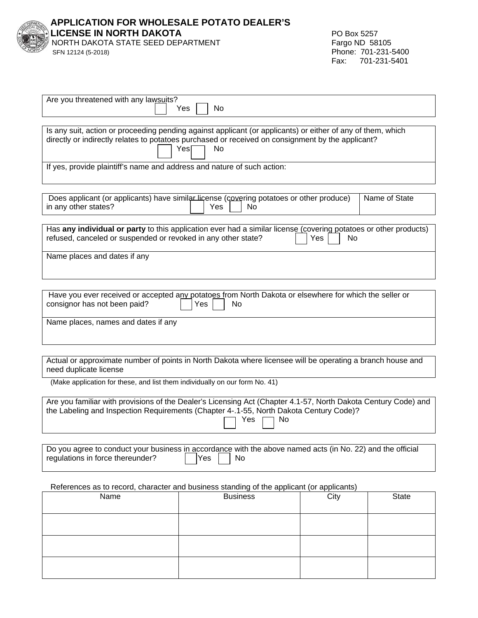| <b>APPLICATION FOR WHOLESALE POTATO DEALER'S<br/>LICENSE IN NORTH DAKOTA<br/>NORTH DAKOTA STATE SEED DEPARTMENT<br/>SEN 12124 (5-2018)</b> |
|--------------------------------------------------------------------------------------------------------------------------------------------|
|                                                                                                                                            |
| SFN 12124 (5-2018)                                                                                                                         |

| Are you threatened with any lawsuits?<br>Yes<br>No                                                                                                                                                                                    |  |  |  |  |  |  |
|---------------------------------------------------------------------------------------------------------------------------------------------------------------------------------------------------------------------------------------|--|--|--|--|--|--|
| Is any suit, action or proceeding pending against applicant (or applicants) or either of any of them, which<br>directly or indirectly relates to potatoes purchased or received on consignment by the applicant?<br><b>No</b><br>Yesl |  |  |  |  |  |  |
| If yes, provide plaintiff's name and address and nature of such action:                                                                                                                                                               |  |  |  |  |  |  |
| Does applicant (or applicants) have similar license (covering potatoes or other produce)<br>Name of State<br>in any other states?<br>Yes<br>No                                                                                        |  |  |  |  |  |  |
| Has any individual or party to this application ever had a similar license (covering potatoes or other products)<br>refused, canceled or suspended or revoked in any other state?<br>No<br>Yes                                        |  |  |  |  |  |  |
| Name places and dates if any                                                                                                                                                                                                          |  |  |  |  |  |  |
| Have you ever received or accepted any potatoes from North Dakota or elsewhere for which the seller or<br>consignor has not been paid?<br>No<br>Yes                                                                                   |  |  |  |  |  |  |
| Name places, names and dates if any                                                                                                                                                                                                   |  |  |  |  |  |  |
| Actual or approximate number of points in North Dakota where licensee will be operating a branch house and<br>need duplicate license                                                                                                  |  |  |  |  |  |  |
| (Make application for these, and list them individually on our form No. 41)                                                                                                                                                           |  |  |  |  |  |  |
| Are you familiar with provisions of the Dealer's Licensing Act (Chapter 4.1-57, North Dakota Century Code) and<br>the Labeling and Inspection Requirements (Chapter 4-.1-55, North Dakota Century Code)?<br>Yes<br>No                 |  |  |  |  |  |  |
|                                                                                                                                                                                                                                       |  |  |  |  |  |  |
| Do you agree to conduct your business in accordance with the above named acts (in No. 22) and the official<br>regulations in force thereunder?<br>Yes<br>No                                                                           |  |  |  |  |  |  |
| References as to record, character and business standing of the applicant (or applicants)                                                                                                                                             |  |  |  |  |  |  |
| <b>Business</b><br><b>State</b><br>Name<br>City                                                                                                                                                                                       |  |  |  |  |  |  |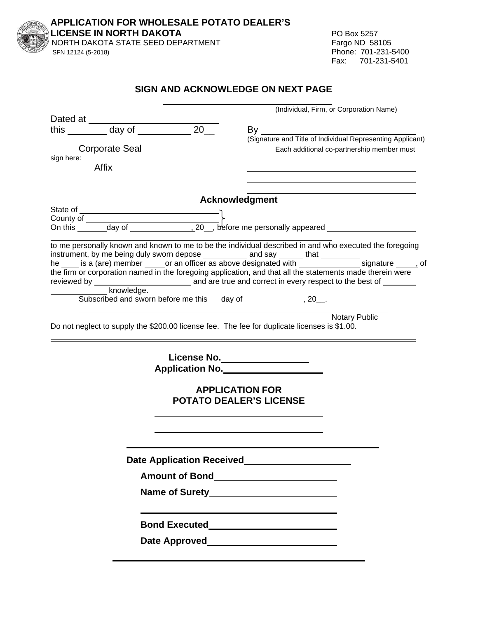| LICENSE IN NORTH DAKOTA<br>NORTH DAKOTA STATE SEED DEPARTMENT<br>SFN 12124 (5-2018)                                                                                                                                            | PO Box 5257<br>Fargo ND 58105<br>Phone: 701-231-5400<br>Fax: 701-231-5401                                                                                                                                                              |
|--------------------------------------------------------------------------------------------------------------------------------------------------------------------------------------------------------------------------------|----------------------------------------------------------------------------------------------------------------------------------------------------------------------------------------------------------------------------------------|
|                                                                                                                                                                                                                                | SIGN AND ACKNOWLEDGE ON NEXT PAGE                                                                                                                                                                                                      |
|                                                                                                                                                                                                                                | (Individual, Firm, or Corporation Name)                                                                                                                                                                                                |
|                                                                                                                                                                                                                                | By the control of the control of the control of the control of the control of the control of the control of the control of the control of the control of the control of the control of the control of the control of the contr         |
|                                                                                                                                                                                                                                | By<br>(Signature and Title of Individual Representing Applicant)                                                                                                                                                                       |
| <b>Corporate Seal</b><br>sign here:<br>Affix                                                                                                                                                                                   | Each additional co-partnership member must                                                                                                                                                                                             |
|                                                                                                                                                                                                                                | <b>Acknowledgment</b>                                                                                                                                                                                                                  |
|                                                                                                                                                                                                                                |                                                                                                                                                                                                                                        |
|                                                                                                                                                                                                                                |                                                                                                                                                                                                                                        |
|                                                                                                                                                                                                                                | to me personally known and known to me to be the individual described in and who executed the foregoing                                                                                                                                |
|                                                                                                                                                                                                                                | Notary Public<br>Do not neglect to supply the \$200.00 license fee. The fee for duplicate licenses is \$1.00.                                                                                                                          |
|                                                                                                                                                                                                                                | License No.                                                                                                                                                                                                                            |
|                                                                                                                                                                                                                                | Application No.                                                                                                                                                                                                                        |
|                                                                                                                                                                                                                                | <b>APPLICATION FOR</b><br><b>POTATO DEALER'S LICENSE</b>                                                                                                                                                                               |
|                                                                                                                                                                                                                                | Date Application Received<br><u>Date Application</u><br>Received  Late Annual Constant Constant Constant Constant Constant Constant Constant Constant Constant Constant Constant Constant Constant Constant Constant Constant Constant |
|                                                                                                                                                                                                                                |                                                                                                                                                                                                                                        |
|                                                                                                                                                                                                                                |                                                                                                                                                                                                                                        |
|                                                                                                                                                                                                                                |                                                                                                                                                                                                                                        |
| Date Approved Date Superior Contract Contract Contract Contract Contract Contract Contract Contract Contract Contract Contract Contract Contract Contract Contract Contract Contract Contract Contract Contract Contract Contr |                                                                                                                                                                                                                                        |

**APPLICATION FOR WHOLESALE POTATO DEALER'S**